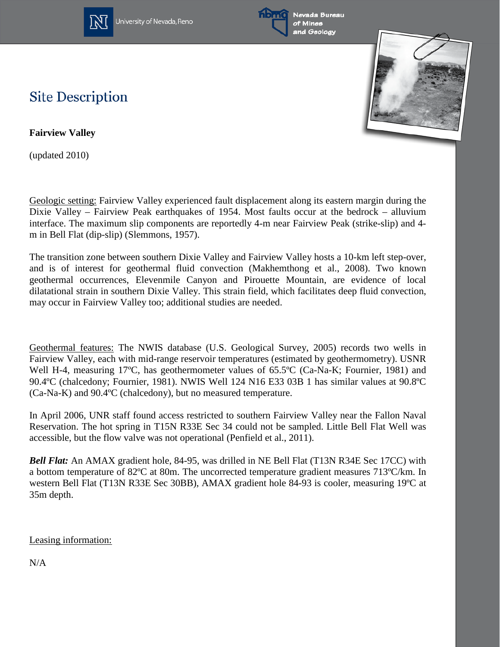

University of Nevada, Reno





## **Site Description**

**Fairview Valley**

(updated 2010)

Geologic setting: Fairview Valley experienced fault displacement along its eastern margin during the Dixie Valley – Fairview Peak earthquakes of 1954. Most faults occur at the bedrock – alluvium interface. The maximum slip components are reportedly 4-m near Fairview Peak (strike-slip) and 4 m in Bell Flat (dip-slip) (Slemmons, 1957).

The transition zone between southern Dixie Valley and Fairview Valley hosts a 10-km left step-over, and is of interest for geothermal fluid convection (Makhemthong et al., 2008). Two known geothermal occurrences, Elevenmile Canyon and Pirouette Mountain, are evidence of local dilatational strain in southern Dixie Valley. This strain field, which facilitates deep fluid convection, may occur in Fairview Valley too; additional studies are needed.

Geothermal features: The NWIS database (U.S. Geological Survey, 2005) records two wells in Fairview Valley, each with mid-range reservoir temperatures (estimated by geothermometry). USNR Well H-4, measuring 17°C, has geothermometer values of 65.5°C (Ca-Na-K; Fournier, 1981) and 90.4ºC (chalcedony; Fournier, 1981). NWIS Well 124 N16 E33 03B 1 has similar values at 90.8ºC (Ca-Na-K) and 90.4ºC (chalcedony), but no measured temperature.

In April 2006, UNR staff found access restricted to southern Fairview Valley near the Fallon Naval Reservation. The hot spring in T15N R33E Sec 34 could not be sampled. Little Bell Flat Well was accessible, but the flow valve was not operational (Penfield et al., 2011).

*Bell Flat:* An AMAX gradient hole, 84-95, was drilled in NE Bell Flat (T13N R34E Sec 17CC) with a bottom temperature of 82ºC at 80m. The uncorrected temperature gradient measures 713ºC/km. In western Bell Flat (T13N R33E Sec 30BB), AMAX gradient hole 84-93 is cooler, measuring 19ºC at 35m depth.

Leasing information:

N/A